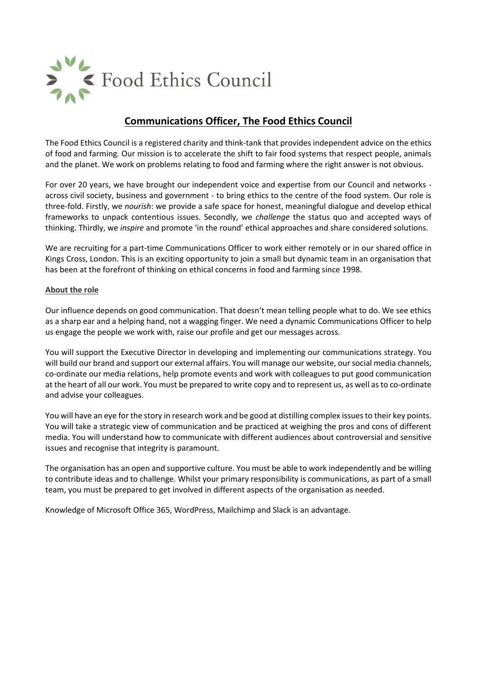

# **Communications Officer, The Food Ethics Council**

The Food Ethics Council is a registered charity and think-tank that provides independent advice on the ethics of food and farming. Our mission is to accelerate the shift to fair food systems that respect people, animals and the planet. We work on problems relating to food and farming where the right answer is not obvious.

For over 20 years, we have brought our independent voice and expertise from our Council and networks across civil society, business and government - to bring ethics to the centre of the food system. Our role is three-fold. Firstly, we *nourish*: we provide a safe space for honest, meaningful dialogue and develop ethical frameworks to unpack contentious issues. Secondly, we *challenge* the status quo and accepted ways of thinking. Thirdly, we *inspire* and promote 'in the round' ethical approaches and share considered solutions.

We are recruiting for a part-time Communications Officer to work either remotely or in our shared office in Kings Cross, London. This is an exciting opportunity to join a small but dynamic team in an organisation that has been at the forefront of thinking on ethical concerns in food and farming since 1998.

## **About the role**

Our influence depends on good communication. That doesn't mean telling people what to do. We see ethics as a sharp ear and a helping hand, not a wagging finger. We need a dynamic Communications Officer to help us engage the people we work with, raise our profile and get our messages across.

You will support the Executive Director in developing and implementing our communications strategy. You will build our brand and support our external affairs. You will manage our website, our social media channels, co-ordinate our media relations, help promote events and work with colleagues to put good communication at the heart of all our work. You must be prepared to write copy and to represent us, as well as to co-ordinate and advise your colleagues.

You will have an eye for the story in research work and be good at distilling complex issues to their key points. You will take a strategic view of communication and be practiced at weighing the pros and cons of different media. You will understand how to communicate with different audiences about controversial and sensitive issues and recognise that integrity is paramount.

The organisation has an open and supportive culture. You must be able to work independently and be willing to contribute ideas and to challenge. Whilst your primary responsibility is communications, as part of a small team, you must be prepared to get involved in different aspects of the organisation as needed.

Knowledge of Microsoft Office 365, WordPress, Mailchimp and Slack is an advantage.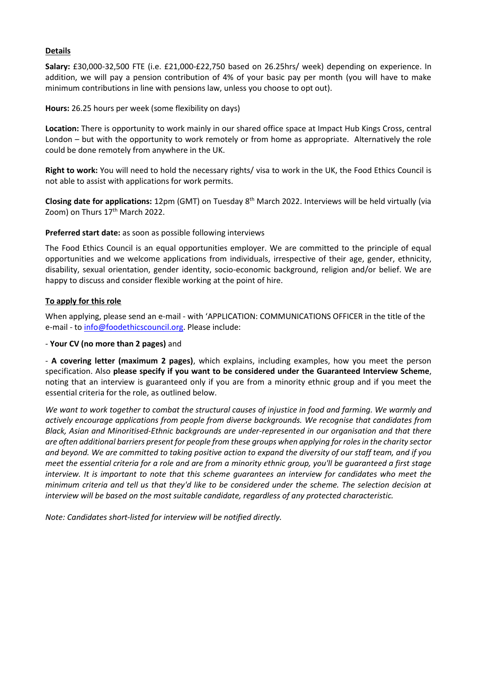## **Details**

**Salary:** £30,000-32,500 FTE (i.e. £21,000-£22,750 based on 26.25hrs/ week) depending on experience. In addition, we will pay a pension contribution of 4% of your basic pay per month (you will have to make minimum contributions in line with pensions law, unless you choose to opt out).

**Hours:** 26.25 hours per week (some flexibility on days)

**Location:** There is opportunity to work mainly in our shared office space at Impact Hub Kings Cross, central London – but with the opportunity to work remotely or from home as appropriate. Alternatively the role could be done remotely from anywhere in the UK.

**Right to work:** You will need to hold the necessary rights/ visa to work in the UK, the Food Ethics Council is not able to assist with applications for work permits.

**Closing date for applications:** 12pm (GMT) on Tuesday 8<sup>th</sup> March 2022. Interviews will be held virtually (via Zoom) on Thurs 17<sup>th</sup> March 2022.

#### **Preferred start date:** as soon as possible following interviews

The Food Ethics Council is an equal opportunities employer. We are committed to the principle of equal opportunities and we welcome applications from individuals, irrespective of their age, gender, ethnicity, disability, sexual orientation, gender identity, socio-economic background, religion and/or belief. We are happy to discuss and consider flexible working at the point of hire.

## **To apply for this role**

When applying, please send an e-mail - with 'APPLICATION: COMMUNICATIONS OFFICER in the title of the e-mail - to [info@foodethicscouncil.org.](mailto:info@foodethicscouncil.org) Please include:

#### - **Your CV (no more than 2 pages)** and

- **A covering letter (maximum 2 pages)**, which explains, including examples, how you meet the person specification. Also **please specify if you want to be considered under the Guaranteed Interview Scheme**, noting that an interview is guaranteed only if you are from a minority ethnic group and if you meet the essential criteria for the role, as outlined below.

*We want to work together to combat the structural causes of injustice in food and farming. We warmly and actively encourage applications from people from diverse backgrounds. We recognise that candidates from Black, Asian and Minoritised-Ethnic backgrounds are under-represented in our organisation and that there are often additional barriers present for people from these groups when applying for roles in the charity sector and beyond. We are committed to taking positive action to expand the diversity of our staff team, and if you meet the essential criteria for a role and are from a minority ethnic group, you'll be guaranteed a first stage interview. It is important to note that this scheme guarantees an interview for candidates who meet the minimum criteria and tell us that they'd like to be considered under the scheme. The selection decision at interview will be based on the most suitable candidate, regardless of any protected characteristic.*

*Note: Candidates short-listed for interview will be notified directly.*